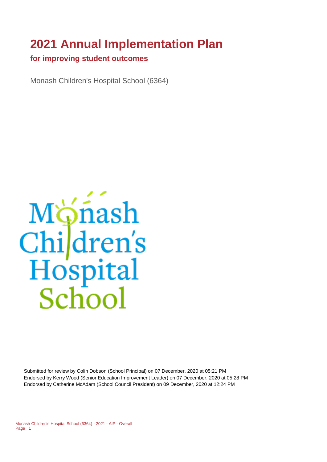# **2021 Annual Implementation Plan**

#### **for improving student outcomes**

Monash Children's Hospital School (6364)



Submitted for review by Colin Dobson (School Principal) on 07 December, 2020 at 05:21 PM Endorsed by Kerry Wood (Senior Education Improvement Leader) on 07 December, 2020 at 05:28 PM Endorsed by Catherine McAdam (School Council President) on 09 December, 2020 at 12:24 PM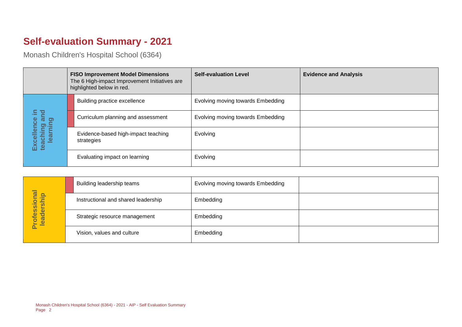# **Self-evaluation Summary - 2021**

Monash Children's Hospital School (6364)

|                                                    |  | <b>FISO Improvement Model Dimensions</b><br>The 6 High-impact Improvement Initiatives are<br>highlighted below in red. | <b>Self-evaluation Level</b>      | <b>Evidence and Analysis</b> |
|----------------------------------------------------|--|------------------------------------------------------------------------------------------------------------------------|-----------------------------------|------------------------------|
|                                                    |  | Building practice excellence                                                                                           | Evolving moving towards Embedding |                              |
| 르.<br>and<br>Excellence<br>teaching an<br>learning |  | Curriculum planning and assessment                                                                                     | Evolving moving towards Embedding |                              |
|                                                    |  | Evidence-based high-impact teaching<br>strategies                                                                      | Evolving                          |                              |
|                                                    |  | Evaluating impact on learning                                                                                          | Evolving                          |                              |

| Professional<br>leadership | Building leadership teams           | Evolving moving towards Embedding |  |
|----------------------------|-------------------------------------|-----------------------------------|--|
|                            | Instructional and shared leadership | Embedding                         |  |
|                            | Strategic resource management       | Embedding                         |  |
|                            | Vision, values and culture          | Embedding                         |  |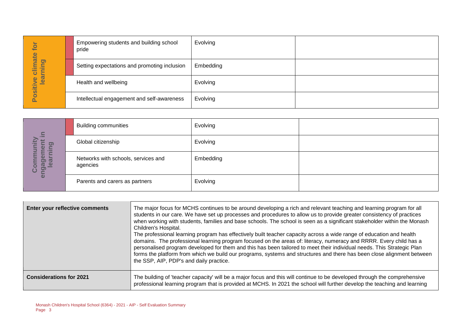| ĬŌ<br>limate<br>ஜ<br><u>ے</u><br>▬<br>lear<br>$\bullet$<br>ositil | Empowering students and building school<br>pride | Evolving  |  |
|-------------------------------------------------------------------|--------------------------------------------------|-----------|--|
|                                                                   | Setting expectations and promoting inclusion     | Embedding |  |
|                                                                   | Health and wellbeing                             | Evolving  |  |
|                                                                   | Intellectual engagement and self-awareness       | Evolving  |  |

| $\equiv$<br>е<br>Ξ<br><u>ත</u><br>▬<br>$\bullet$<br>►<br>engageme<br>learnir<br>ō<br>ပ | <b>Building communities</b>                     | Evolving  |  |
|----------------------------------------------------------------------------------------|-------------------------------------------------|-----------|--|
|                                                                                        | Global citizenship                              | Evolving  |  |
|                                                                                        | Networks with schools, services and<br>agencies | Embedding |  |
|                                                                                        | Parents and carers as partners                  | Evolving  |  |

|                                        | Empowering students and building school<br>pride                                |                                                                 | Evolving                                                                                                                                                                                                                                               |                                                                                                                                                                                                                                                                                                                                                                                                                                                                                                                                                                                                                                                                                                                                                                                                                                                                             |
|----------------------------------------|---------------------------------------------------------------------------------|-----------------------------------------------------------------|--------------------------------------------------------------------------------------------------------------------------------------------------------------------------------------------------------------------------------------------------------|-----------------------------------------------------------------------------------------------------------------------------------------------------------------------------------------------------------------------------------------------------------------------------------------------------------------------------------------------------------------------------------------------------------------------------------------------------------------------------------------------------------------------------------------------------------------------------------------------------------------------------------------------------------------------------------------------------------------------------------------------------------------------------------------------------------------------------------------------------------------------------|
| learning                               | Setting expectations and promoting inclusion                                    |                                                                 | Embedding                                                                                                                                                                                                                                              |                                                                                                                                                                                                                                                                                                                                                                                                                                                                                                                                                                                                                                                                                                                                                                                                                                                                             |
| Positive climate for                   | Health and wellbeing                                                            |                                                                 | Evolving                                                                                                                                                                                                                                               |                                                                                                                                                                                                                                                                                                                                                                                                                                                                                                                                                                                                                                                                                                                                                                                                                                                                             |
|                                        | Intellectual engagement and self-awareness                                      |                                                                 | Evolving                                                                                                                                                                                                                                               |                                                                                                                                                                                                                                                                                                                                                                                                                                                                                                                                                                                                                                                                                                                                                                                                                                                                             |
|                                        |                                                                                 |                                                                 |                                                                                                                                                                                                                                                        |                                                                                                                                                                                                                                                                                                                                                                                                                                                                                                                                                                                                                                                                                                                                                                                                                                                                             |
|                                        | <b>Building communities</b>                                                     |                                                                 | Evolving                                                                                                                                                                                                                                               |                                                                                                                                                                                                                                                                                                                                                                                                                                                                                                                                                                                                                                                                                                                                                                                                                                                                             |
|                                        | Global citizenship                                                              |                                                                 | Evolving                                                                                                                                                                                                                                               |                                                                                                                                                                                                                                                                                                                                                                                                                                                                                                                                                                                                                                                                                                                                                                                                                                                                             |
| engagement in<br>Community<br>learning | Networks with schools, services and<br>agencies                                 |                                                                 | Embedding                                                                                                                                                                                                                                              |                                                                                                                                                                                                                                                                                                                                                                                                                                                                                                                                                                                                                                                                                                                                                                                                                                                                             |
|                                        | Parents and carers as partners                                                  |                                                                 | Evolving                                                                                                                                                                                                                                               |                                                                                                                                                                                                                                                                                                                                                                                                                                                                                                                                                                                                                                                                                                                                                                                                                                                                             |
|                                        |                                                                                 |                                                                 |                                                                                                                                                                                                                                                        |                                                                                                                                                                                                                                                                                                                                                                                                                                                                                                                                                                                                                                                                                                                                                                                                                                                                             |
| Enter your reflective comments         |                                                                                 | Children's Hospital.<br>the SSP, AIP, PDP's and daily practice. |                                                                                                                                                                                                                                                        | The major focus for MCHS continues to be around developing a rich and relevant teaching and learning program for all<br>students in our care. We have set up processes and procedures to allow us to provide greater consistency of practices<br>when working with students, families and base schools. The school is seen as a significant stakeholder within the Monash<br>The professional learning program has effectively built teacher capacity across a wide range of education and health<br>domains. The professional learning program focused on the areas of: literacy, numeracy and RRRR. Every child has a<br>personalised program developed for them and this has been tailored to meet their individual needs. This Strategic Plan<br>forms the platform from which we build our programs, systems and structures and there has been close alignment between |
| <b>Considerations for 2021</b>         |                                                                                 |                                                                 | The building of 'teacher capacity' will be a major focus and this will continue to be developed through the comprehensive<br>professional learning program that is provided at MCHS. In 2021 the school will further develop the teaching and learning |                                                                                                                                                                                                                                                                                                                                                                                                                                                                                                                                                                                                                                                                                                                                                                                                                                                                             |
| Page 3                                 | Monash Children's Hospital School (6364) - 2021 - AIP - Self Evaluation Summary |                                                                 |                                                                                                                                                                                                                                                        |                                                                                                                                                                                                                                                                                                                                                                                                                                                                                                                                                                                                                                                                                                                                                                                                                                                                             |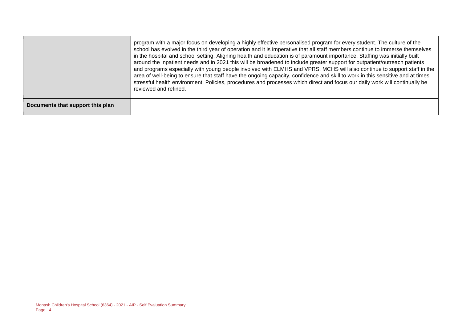|                                  | program with a major focus on developing a highly effective personalised program for every student. The culture of the<br>school has evolved in the third year of operation and it is imperative that all staff members continue to immerse themselves<br>in the hospital and school setting. Aligning health and education is of paramount importance. Staffing was initially built<br>around the inpatient needs and in 2021 this will be broadened to include greater support for outpatient/outreach patients<br>and programs especially with young people involved with ELMHS and VPRS. MCHS will also continue to support staff in the<br>area of well-being to ensure that staff have the ongoing capacity, confidence and skill to work in this sensitive and at times<br>stressful health environment. Policies, procedures and processes which direct and focus our daily work will continually be<br>reviewed and refined. |
|----------------------------------|---------------------------------------------------------------------------------------------------------------------------------------------------------------------------------------------------------------------------------------------------------------------------------------------------------------------------------------------------------------------------------------------------------------------------------------------------------------------------------------------------------------------------------------------------------------------------------------------------------------------------------------------------------------------------------------------------------------------------------------------------------------------------------------------------------------------------------------------------------------------------------------------------------------------------------------|
| Documents that support this plan |                                                                                                                                                                                                                                                                                                                                                                                                                                                                                                                                                                                                                                                                                                                                                                                                                                                                                                                                       |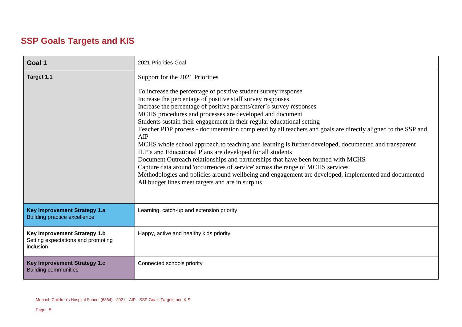# **SSP Goals Targets and KIS**

| Goal 1                                                                          | 2021 Priorities Goal                                                                                                                                                                                                                                                                                                                                                                                                                                                                                                                                                                                        |
|---------------------------------------------------------------------------------|-------------------------------------------------------------------------------------------------------------------------------------------------------------------------------------------------------------------------------------------------------------------------------------------------------------------------------------------------------------------------------------------------------------------------------------------------------------------------------------------------------------------------------------------------------------------------------------------------------------|
| Target 1.1                                                                      | Support for the 2021 Priorities<br>To increase the percentage of positive student survey response<br>Increase the percentage of positive staff survey responses<br>Increase the percentage of positive parents/carer's survey responses<br>MCHS procedures and processes are developed and document<br>Students sustain their engagement in their regular educational setting<br>Teacher PDP process - documentation completed by all teachers and goals are directly aligned to the SSP and<br>AIP<br>MCHS whole school approach to teaching and learning is further developed, documented and transparent |
|                                                                                 | ILP's and Educational Plans are developed for all students<br>Document Outreach relationships and partnerships that have been formed with MCHS<br>Capture data around 'occurrences of service' across the range of MCHS services<br>Methodologies and policies around wellbeing and engagement are developed, implemented and documented<br>All budget lines meet targets and are in surplus                                                                                                                                                                                                                |
| <b>Key Improvement Strategy 1.a</b><br><b>Building practice excellence</b>      | Learning, catch-up and extension priority                                                                                                                                                                                                                                                                                                                                                                                                                                                                                                                                                                   |
| Key Improvement Strategy 1.b<br>Setting expectations and promoting<br>inclusion | Happy, active and healthy kids priority                                                                                                                                                                                                                                                                                                                                                                                                                                                                                                                                                                     |
| <b>Key Improvement Strategy 1.c</b><br><b>Building communities</b>              | Connected schools priority                                                                                                                                                                                                                                                                                                                                                                                                                                                                                                                                                                                  |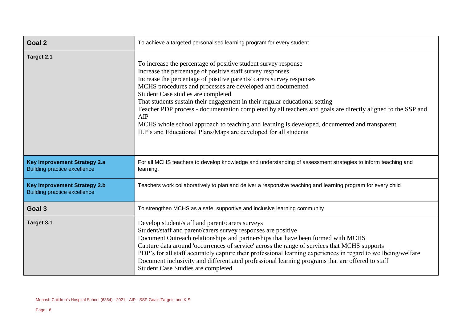| Goal 2                                                                     | To achieve a targeted personalised learning program for every student                                                                                                                                                                                                                                                                                                                                                                                                                                                                                                                                                                                                            |
|----------------------------------------------------------------------------|----------------------------------------------------------------------------------------------------------------------------------------------------------------------------------------------------------------------------------------------------------------------------------------------------------------------------------------------------------------------------------------------------------------------------------------------------------------------------------------------------------------------------------------------------------------------------------------------------------------------------------------------------------------------------------|
| Target 2.1                                                                 | To increase the percentage of positive student survey response<br>Increase the percentage of positive staff survey responses<br>Increase the percentage of positive parents/ carers survey responses<br>MCHS procedures and processes are developed and documented<br>Student Case studies are completed<br>That students sustain their engagement in their regular educational setting<br>Teacher PDP process - documentation completed by all teachers and goals are directly aligned to the SSP and<br>AIP<br>MCHS whole school approach to teaching and learning is developed, documented and transparent<br>ILP's and Educational Plans/Maps are developed for all students |
| <b>Key Improvement Strategy 2.a</b><br><b>Building practice excellence</b> | For all MCHS teachers to develop knowledge and understanding of assessment strategies to inform teaching and<br>learning.                                                                                                                                                                                                                                                                                                                                                                                                                                                                                                                                                        |
| <b>Key Improvement Strategy 2.b</b><br><b>Building practice excellence</b> | Teachers work collaboratively to plan and deliver a responsive teaching and learning program for every child                                                                                                                                                                                                                                                                                                                                                                                                                                                                                                                                                                     |
| Goal 3                                                                     | To strengthen MCHS as a safe, supportive and inclusive learning community                                                                                                                                                                                                                                                                                                                                                                                                                                                                                                                                                                                                        |
| Target 3.1                                                                 | Develop student/staff and parent/carers surveys<br>Student/staff and parent/carers survey responses are positive<br>Document Outreach relationships and partnerships that have been formed with MCHS<br>Capture data around 'occurrences of service' across the range of services that MCHS supports<br>PDP's for all staff accurately capture their professional learning experiences in regard to wellbeing/welfare<br>Document inclusivity and differentiated professional learning programs that are offered to staff<br>Student Case Studies are completed                                                                                                                  |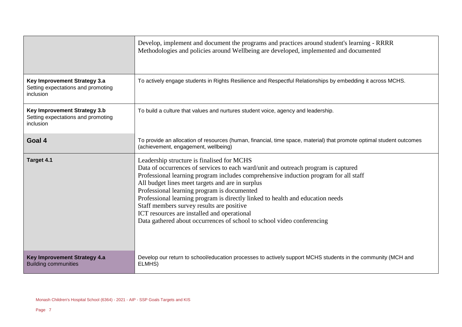|                                                                                        | Develop, implement and document the programs and practices around student's learning - RRRR<br>Methodologies and policies around Wellbeing are developed, implemented and documented                                                                                                                                                                                                                                                                                                                                                                                                |
|----------------------------------------------------------------------------------------|-------------------------------------------------------------------------------------------------------------------------------------------------------------------------------------------------------------------------------------------------------------------------------------------------------------------------------------------------------------------------------------------------------------------------------------------------------------------------------------------------------------------------------------------------------------------------------------|
| Key Improvement Strategy 3.a<br>Setting expectations and promoting<br>inclusion        | To actively engage students in Rights Resilience and Respectful Relationships by embedding it across MCHS.                                                                                                                                                                                                                                                                                                                                                                                                                                                                          |
| Key Improvement Strategy 3.b<br>Setting expectations and promoting<br><i>inclusion</i> | To build a culture that values and nurtures student voice, agency and leadership.                                                                                                                                                                                                                                                                                                                                                                                                                                                                                                   |
| Goal 4                                                                                 | To provide an allocation of resources (human, financial, time space, material) that promote optimal student outcomes<br>(achievement, engagement, wellbeing)                                                                                                                                                                                                                                                                                                                                                                                                                        |
| Target 4.1                                                                             | Leadership structure is finalised for MCHS<br>Data of occurrences of services to each ward/unit and outreach program is captured<br>Professional learning program includes comprehensive induction program for all staff<br>All budget lines meet targets and are in surplus<br>Professional learning program is documented<br>Professional learning program is directly linked to health and education needs<br>Staff members survey results are positive<br>ICT resources are installed and operational<br>Data gathered about occurrences of school to school video conferencing |
| Key Improvement Strategy 4.a<br><b>Building communities</b>                            | Develop our return to school/education processes to actively support MCHS students in the community (MCH and<br>ELMHS)                                                                                                                                                                                                                                                                                                                                                                                                                                                              |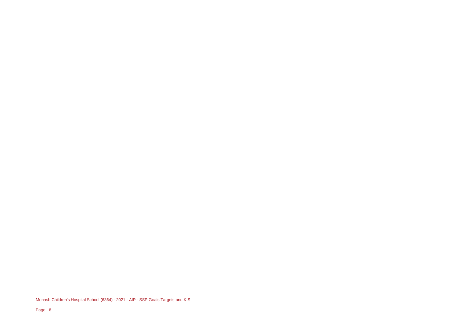Monash Children's Hospital School (6364) - 2021 - AIP - SSP Goals Targets and KIS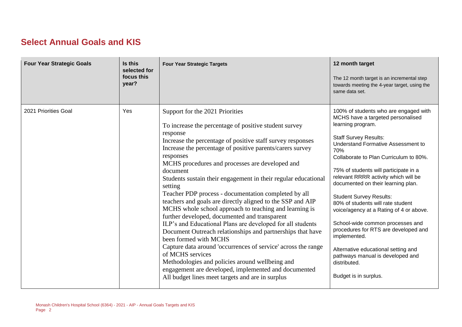### **Select Annual Goals and KIS**

| <b>Four Year Strategic Goals</b> | Is this<br>selected for<br>focus this<br>year? | <b>Four Year Strategic Targets</b>                                                                                                                                                                                                                                                                                                                                                                                                                                                                                                                                                                                                                                                                                                                                                                                                                                                                                                                                                                                                 | 12 month target<br>The 12 month target is an incremental step<br>towards meeting the 4-year target, using the<br>same data set.                                                                                                                                                                                                                                                                                                                                                                                                                                                                                                                                                        |
|----------------------------------|------------------------------------------------|------------------------------------------------------------------------------------------------------------------------------------------------------------------------------------------------------------------------------------------------------------------------------------------------------------------------------------------------------------------------------------------------------------------------------------------------------------------------------------------------------------------------------------------------------------------------------------------------------------------------------------------------------------------------------------------------------------------------------------------------------------------------------------------------------------------------------------------------------------------------------------------------------------------------------------------------------------------------------------------------------------------------------------|----------------------------------------------------------------------------------------------------------------------------------------------------------------------------------------------------------------------------------------------------------------------------------------------------------------------------------------------------------------------------------------------------------------------------------------------------------------------------------------------------------------------------------------------------------------------------------------------------------------------------------------------------------------------------------------|
| 2021 Priorities Goal             | Yes                                            | Support for the 2021 Priorities<br>To increase the percentage of positive student survey<br>response<br>Increase the percentage of positive staff survey responses<br>Increase the percentage of positive parents/carers survey<br>responses<br>MCHS procedures and processes are developed and<br>document<br>Students sustain their engagement in their regular educational<br>setting<br>Teacher PDP process - documentation completed by all<br>teachers and goals are directly aligned to the SSP and AIP<br>MCHS whole school approach to teaching and learning is<br>further developed, documented and transparent<br>ILP's and Educational Plans are developed for all students<br>Document Outreach relationships and partnerships that have<br>been formed with MCHS<br>Capture data around 'occurrences of service' across the range<br>of MCHS services<br>Methodologies and policies around wellbeing and<br>engagement are developed, implemented and documented<br>All budget lines meet targets and are in surplus | 100% of students who are engaged with<br>MCHS have a targeted personalised<br>learning program.<br><b>Staff Survey Results:</b><br><b>Understand Formative Assessment to</b><br>70%<br>Collaborate to Plan Curriculum to 80%.<br>75% of students will participate in a<br>relevant RRRR activity which will be<br>documented on their learning plan.<br><b>Student Survey Results:</b><br>80% of students will rate student<br>voice/agency at a Rating of 4 or above.<br>School-wide common processes and<br>procedures for RTS are developed and<br>implemented.<br>Alternative educational setting and<br>pathways manual is developed and<br>distributed.<br>Budget is in surplus. |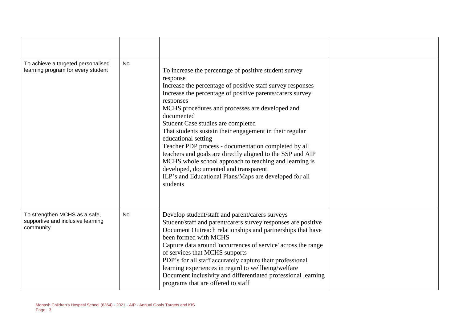| To achieve a targeted personalised<br>learning program for every student        | <b>No</b> | To increase the percentage of positive student survey<br>response<br>Increase the percentage of positive staff survey responses<br>Increase the percentage of positive parents/carers survey<br>responses<br>MCHS procedures and processes are developed and<br>documented<br>Student Case studies are completed<br>That students sustain their engagement in their regular<br>educational setting<br>Teacher PDP process - documentation completed by all<br>teachers and goals are directly aligned to the SSP and AIP<br>MCHS whole school approach to teaching and learning is<br>developed, documented and transparent<br>ILP's and Educational Plans/Maps are developed for all<br>students |  |
|---------------------------------------------------------------------------------|-----------|---------------------------------------------------------------------------------------------------------------------------------------------------------------------------------------------------------------------------------------------------------------------------------------------------------------------------------------------------------------------------------------------------------------------------------------------------------------------------------------------------------------------------------------------------------------------------------------------------------------------------------------------------------------------------------------------------|--|
| To strengthen MCHS as a safe,<br>supportive and inclusive learning<br>community | <b>No</b> | Develop student/staff and parent/carers surveys<br>Student/staff and parent/carers survey responses are positive<br>Document Outreach relationships and partnerships that have<br>been formed with MCHS<br>Capture data around 'occurrences of service' across the range<br>of services that MCHS supports<br>PDP's for all staff accurately capture their professional<br>learning experiences in regard to wellbeing/welfare<br>Document inclusivity and differentiated professional learning<br>programs that are offered to staff                                                                                                                                                             |  |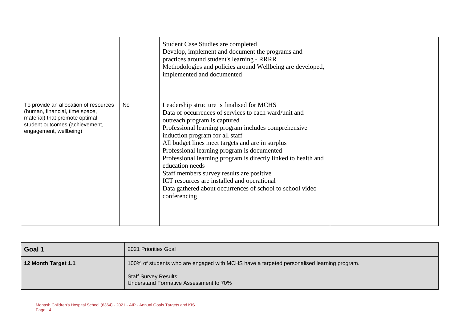|                                                                                                                                                                       |    | <b>Student Case Studies are completed</b><br>Develop, implement and document the programs and<br>practices around student's learning - RRRR<br>Methodologies and policies around Wellbeing are developed,<br>implemented and documented                                                                                                                                                                                                                                                                                                                                                         |  |
|-----------------------------------------------------------------------------------------------------------------------------------------------------------------------|----|-------------------------------------------------------------------------------------------------------------------------------------------------------------------------------------------------------------------------------------------------------------------------------------------------------------------------------------------------------------------------------------------------------------------------------------------------------------------------------------------------------------------------------------------------------------------------------------------------|--|
| To provide an allocation of resources<br>(human, financial, time space,<br>material) that promote optimal<br>student outcomes (achievement,<br>engagement, wellbeing) | No | Leadership structure is finalised for MCHS<br>Data of occurrences of services to each ward/unit and<br>outreach program is captured<br>Professional learning program includes comprehensive<br>induction program for all staff<br>All budget lines meet targets and are in surplus<br>Professional learning program is documented<br>Professional learning program is directly linked to health and<br>education needs<br>Staff members survey results are positive<br>ICT resources are installed and operational<br>Data gathered about occurrences of school to school video<br>conferencing |  |

| Goal 1              | 2021 Priorities Goal                                                                      |
|---------------------|-------------------------------------------------------------------------------------------|
| 12 Month Target 1.1 | 100% of students who are engaged with MCHS have a targeted personalised learning program. |
|                     | <b>Staff Survey Results:</b><br>Understand Formative Assessment to 70%                    |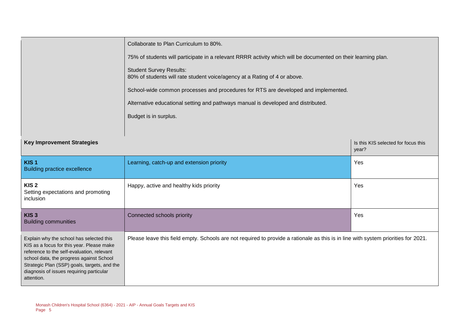|                                                                                                                                                                                                                                                                                           | Collaborate to Plan Curriculum to 80%.<br>75% of students will participate in a relevant RRRR activity which will be documented on their learning plan.<br><b>Student Survey Results:</b><br>80% of students will rate student voice/agency at a Rating of 4 or above.<br>School-wide common processes and procedures for RTS are developed and implemented.<br>Alternative educational setting and pathways manual is developed and distributed.<br>Budget is in surplus. |                                              |  |
|-------------------------------------------------------------------------------------------------------------------------------------------------------------------------------------------------------------------------------------------------------------------------------------------|----------------------------------------------------------------------------------------------------------------------------------------------------------------------------------------------------------------------------------------------------------------------------------------------------------------------------------------------------------------------------------------------------------------------------------------------------------------------------|----------------------------------------------|--|
| <b>Key Improvement Strategies</b>                                                                                                                                                                                                                                                         |                                                                                                                                                                                                                                                                                                                                                                                                                                                                            | Is this KIS selected for focus this<br>year? |  |
| KIS <sub>1</sub><br><b>Building practice excellence</b>                                                                                                                                                                                                                                   | Learning, catch-up and extension priority                                                                                                                                                                                                                                                                                                                                                                                                                                  | Yes                                          |  |
| KIS <sub>2</sub><br>Setting expectations and promoting<br>inclusion                                                                                                                                                                                                                       | Happy, active and healthy kids priority                                                                                                                                                                                                                                                                                                                                                                                                                                    | Yes                                          |  |
| KIS <sub>3</sub><br><b>Building communities</b>                                                                                                                                                                                                                                           | Connected schools priority                                                                                                                                                                                                                                                                                                                                                                                                                                                 | Yes                                          |  |
| Explain why the school has selected this<br>KIS as a focus for this year. Please make<br>reference to the self-evaluation, relevant<br>school data, the progress against School<br>Strategic Plan (SSP) goals, targets, and the<br>diagnosis of issues requiring particular<br>attention. | Please leave this field empty. Schools are not required to provide a rationale as this is in line with system priorities for 2021.                                                                                                                                                                                                                                                                                                                                         |                                              |  |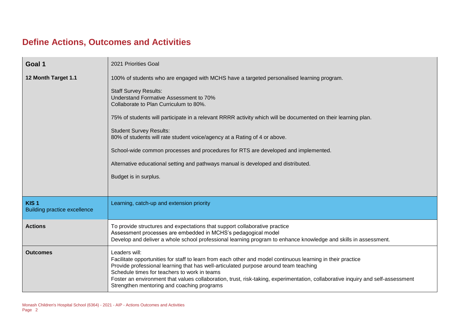### **Define Actions, Outcomes and Activities**

| Goal 1                                                  | 2021 Priorities Goal                                                                                                                                                                                                                                                                                                                                                                                                                                                                                                                                                                                                                              |
|---------------------------------------------------------|---------------------------------------------------------------------------------------------------------------------------------------------------------------------------------------------------------------------------------------------------------------------------------------------------------------------------------------------------------------------------------------------------------------------------------------------------------------------------------------------------------------------------------------------------------------------------------------------------------------------------------------------------|
| 12 Month Target 1.1                                     | 100% of students who are engaged with MCHS have a targeted personalised learning program.<br><b>Staff Survey Results:</b><br>Understand Formative Assessment to 70%<br>Collaborate to Plan Curriculum to 80%.<br>75% of students will participate in a relevant RRRR activity which will be documented on their learning plan.<br><b>Student Survey Results:</b><br>80% of students will rate student voice/agency at a Rating of 4 or above.<br>School-wide common processes and procedures for RTS are developed and implemented.<br>Alternative educational setting and pathways manual is developed and distributed.<br>Budget is in surplus. |
| KIS <sub>1</sub><br><b>Building practice excellence</b> | Learning, catch-up and extension priority                                                                                                                                                                                                                                                                                                                                                                                                                                                                                                                                                                                                         |
| <b>Actions</b>                                          | To provide structures and expectations that support collaborative practice<br>Assessment processes are embedded in MCHS's pedagogical model<br>Develop and deliver a whole school professional learning program to enhance knowledge and skills in assessment.                                                                                                                                                                                                                                                                                                                                                                                    |
| <b>Outcomes</b>                                         | Leaders will:<br>Facilitate opportunities for staff to learn from each other and model continuous learning in their practice<br>Provide professional learning that has well-articulated purpose around team teaching<br>Schedule times for teachers to work in teams<br>Foster an environment that values collaboration, trust, risk-taking, experimentation, collaborative inquiry and self-assessment<br>Strengthen mentoring and coaching programs                                                                                                                                                                                             |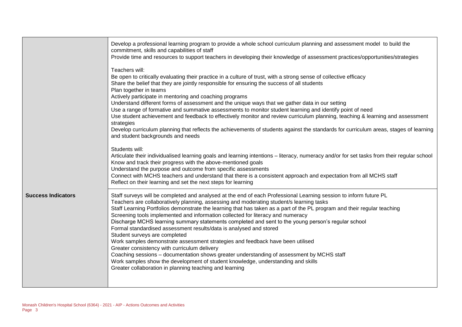|                           | Develop a professional learning program to provide a whole school curriculum planning and assessment model to build the<br>commitment, skills and capabilities of staff<br>Provide time and resources to support teachers in developing their knowledge of assessment practices/opportunities/strategies                                                                                                                                                                                                                                                                                                                                                                                                                                                                                                                                                                                                                                                                                                                |
|---------------------------|-------------------------------------------------------------------------------------------------------------------------------------------------------------------------------------------------------------------------------------------------------------------------------------------------------------------------------------------------------------------------------------------------------------------------------------------------------------------------------------------------------------------------------------------------------------------------------------------------------------------------------------------------------------------------------------------------------------------------------------------------------------------------------------------------------------------------------------------------------------------------------------------------------------------------------------------------------------------------------------------------------------------------|
|                           | Teachers will:<br>Be open to critically evaluating their practice in a culture of trust, with a strong sense of collective efficacy<br>Share the belief that they are jointly responsible for ensuring the success of all students<br>Plan together in teams<br>Actively participate in mentoring and coaching programs<br>Understand different forms of assessment and the unique ways that we gather data in our setting<br>Use a range of formative and summative assessments to monitor student learning and identify point of need<br>Use student achievement and feedback to effectively monitor and review curriculum planning, teaching & learning and assessment<br>strategies<br>Develop curriculum planning that reflects the achievements of students against the standards for curriculum areas, stages of learning<br>and student backgrounds and needs                                                                                                                                                   |
|                           | Students will:<br>Articulate their individualised learning goals and learning intentions - literacy, numeracy and/or for set tasks from their regular school<br>Know and track their progress with the above-mentioned goals<br>Understand the purpose and outcome from specific assessments<br>Connect with MCHS teachers and understand that there is a consistent approach and expectation from all MCHS staff<br>Reflect on their learning and set the next steps for learning                                                                                                                                                                                                                                                                                                                                                                                                                                                                                                                                      |
| <b>Success Indicators</b> | Staff surveys will be completed and analysed at the end of each Professional Learning session to inform future PL<br>Teachers are collaboratively planning, assessing and moderating student/s learning tasks<br>Staff Learning Portfolios demonstrate the learning that has taken as a part of the PL program and their regular teaching<br>Screening tools implemented and information collected for literacy and numeracy<br>Discharge MCHS learning summary statements completed and sent to the young person's regular school<br>Formal standardised assessment results/data is analysed and stored<br>Student surveys are completed<br>Work samples demonstrate assessment strategies and feedback have been utilised<br>Greater consistency with curriculum delivery<br>Coaching sessions - documentation shows greater understanding of assessment by MCHS staff<br>Work samples show the development of student knowledge, understanding and skills<br>Greater collaboration in planning teaching and learning |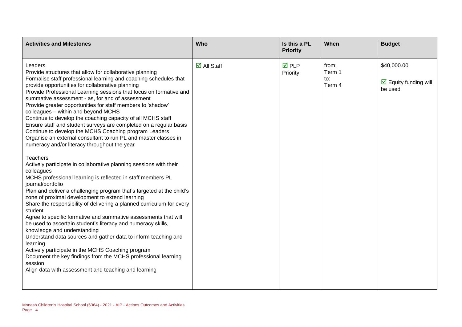| <b>Activities and Milestones</b>                                                                                                                                                                                                                                                                                                                                                                                                                                                                                                                                                                                                                                                                                                                                                                                                                                                                                                                                                                                                                                                                                                                                                                                                                                                                                                                                                                        | Who                               | Is this a PL<br><b>Priority</b> | When                             | <b>Budget</b>                                                  |
|---------------------------------------------------------------------------------------------------------------------------------------------------------------------------------------------------------------------------------------------------------------------------------------------------------------------------------------------------------------------------------------------------------------------------------------------------------------------------------------------------------------------------------------------------------------------------------------------------------------------------------------------------------------------------------------------------------------------------------------------------------------------------------------------------------------------------------------------------------------------------------------------------------------------------------------------------------------------------------------------------------------------------------------------------------------------------------------------------------------------------------------------------------------------------------------------------------------------------------------------------------------------------------------------------------------------------------------------------------------------------------------------------------|-----------------------------------|---------------------------------|----------------------------------|----------------------------------------------------------------|
| Leaders<br>Provide structures that allow for collaborative planning<br>Formalise staff professional learning and coaching schedules that<br>provide opportunities for collaborative planning<br>Provide Professional Learning sessions that focus on formative and<br>summative assessment - as, for and of assessment<br>Provide greater opportunities for staff members to 'shadow'<br>colleagues - within and beyond MCHS<br>Continue to develop the coaching capacity of all MCHS staff<br>Ensure staff and student surveys are completed on a regular basis<br>Continue to develop the MCHS Coaching program Leaders<br>Organise an external consultant to run PL and master classes in<br>numeracy and/or literacy throughout the year<br><b>Teachers</b><br>Actively participate in collaborative planning sessions with their<br>colleagues<br>MCHS professional learning is reflected in staff members PL<br>journal/portfolio<br>Plan and deliver a challenging program that's targeted at the child's<br>zone of proximal development to extend learning<br>Share the responsibility of delivering a planned curriculum for every<br>student<br>Agree to specific formative and summative assessments that will<br>be used to ascertain student's literacy and numeracy skills,<br>knowledge and understanding<br>Understand data sources and gather data to inform teaching and<br>learning | $\overline{\mathsf{d}}$ All Staff | $\nabla$ PLP<br>Priority        | from:<br>Term 1<br>to:<br>Term 4 | \$40,000.00<br>$\triangleright$ Equity funding will<br>be used |
| Actively participate in the MCHS Coaching program<br>Document the key findings from the MCHS professional learning<br>session<br>Align data with assessment and teaching and learning                                                                                                                                                                                                                                                                                                                                                                                                                                                                                                                                                                                                                                                                                                                                                                                                                                                                                                                                                                                                                                                                                                                                                                                                                   |                                   |                                 |                                  |                                                                |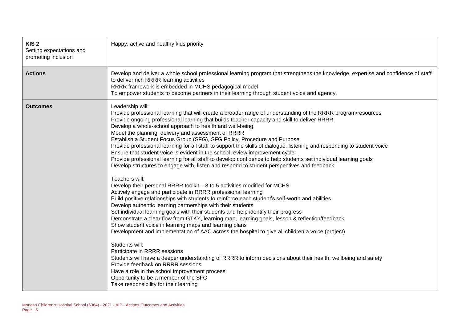| KIS <sub>2</sub><br>Setting expectations and<br>promoting inclusion | Happy, active and healthy kids priority                                                                                                                                                                                                                                                                                                                                                                                                                                                                                                                                                                                                                                                                                                                                                                                                                                                                                                                                                                                                                                                                                                                                                                                                                                                                                                                                                                                                                                                                                                                                                                                                                                                                                                                                                                                                                                                            |
|---------------------------------------------------------------------|----------------------------------------------------------------------------------------------------------------------------------------------------------------------------------------------------------------------------------------------------------------------------------------------------------------------------------------------------------------------------------------------------------------------------------------------------------------------------------------------------------------------------------------------------------------------------------------------------------------------------------------------------------------------------------------------------------------------------------------------------------------------------------------------------------------------------------------------------------------------------------------------------------------------------------------------------------------------------------------------------------------------------------------------------------------------------------------------------------------------------------------------------------------------------------------------------------------------------------------------------------------------------------------------------------------------------------------------------------------------------------------------------------------------------------------------------------------------------------------------------------------------------------------------------------------------------------------------------------------------------------------------------------------------------------------------------------------------------------------------------------------------------------------------------------------------------------------------------------------------------------------------------|
| <b>Actions</b>                                                      | Develop and deliver a whole school professional learning program that strengthens the knowledge, expertise and confidence of staff<br>to deliver rich RRRR learning activities<br>RRRR framework is embedded in MCHS pedagogical model<br>To empower students to become partners in their learning through student voice and agency.                                                                                                                                                                                                                                                                                                                                                                                                                                                                                                                                                                                                                                                                                                                                                                                                                                                                                                                                                                                                                                                                                                                                                                                                                                                                                                                                                                                                                                                                                                                                                               |
| <b>Outcomes</b>                                                     | Leadership will:<br>Provide professional learning that will create a broader range of understanding of the RRRR program/resources<br>Provide ongoing professional learning that builds teacher capacity and skill to deliver RRRR<br>Develop a whole-school approach to health and well-being<br>Model the planning, delivery and assessment of RRRR<br>Establish a Student Focus Group (SFG), SFG Policy, Procedure and Purpose<br>Provide professional learning for all staff to support the skills of dialogue, listening and responding to student voice<br>Ensure that student voice is evident in the school review improvement cycle<br>Provide professional learning for all staff to develop confidence to help students set individual learning goals<br>Develop structures to engage with, listen and respond to student perspectives and feedback<br>Teachers will:<br>Develop their personal RRRR toolkit - 3 to 5 activities modified for MCHS<br>Actively engage and participate in RRRR professional learning<br>Build positive relationships with students to reinforce each student's self-worth and abilities<br>Develop authentic learning partnerships with their students<br>Set individual learning goals with their students and help identify their progress<br>Demonstrate a clear flow from GTKY, learning map, learning goals, lesson & reflection/feedback<br>Show student voice in learning maps and learning plans<br>Development and implementation of AAC across the hospital to give all children a voice (project)<br>Students will:<br>Participate in RRRR sessions<br>Students will have a deeper understanding of RRRR to inform decisions about their health, wellbeing and safety<br>Provide feedback on RRRR sessions<br>Have a role in the school improvement process<br>Opportunity to be a member of the SFG<br>Take responsibility for their learning |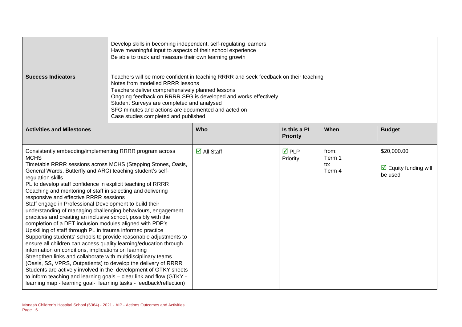|                                                                                                                                                                                                                                                                                                                                                                                                                                                                                                                                                                                                                                                                                                                                                                                                                                                                                                                                                                                                                                                                                                                                                                                                           | Develop skills in becoming independent, self-regulating learners<br>Have meaningful input to aspects of their school experience<br>Be able to track and measure their own learning growth                                                                                                                                                                                                    |                                   |                                 |                                  |                                                                |
|-----------------------------------------------------------------------------------------------------------------------------------------------------------------------------------------------------------------------------------------------------------------------------------------------------------------------------------------------------------------------------------------------------------------------------------------------------------------------------------------------------------------------------------------------------------------------------------------------------------------------------------------------------------------------------------------------------------------------------------------------------------------------------------------------------------------------------------------------------------------------------------------------------------------------------------------------------------------------------------------------------------------------------------------------------------------------------------------------------------------------------------------------------------------------------------------------------------|----------------------------------------------------------------------------------------------------------------------------------------------------------------------------------------------------------------------------------------------------------------------------------------------------------------------------------------------------------------------------------------------|-----------------------------------|---------------------------------|----------------------------------|----------------------------------------------------------------|
| <b>Success Indicators</b>                                                                                                                                                                                                                                                                                                                                                                                                                                                                                                                                                                                                                                                                                                                                                                                                                                                                                                                                                                                                                                                                                                                                                                                 | Teachers will be more confident in teaching RRRR and seek feedback on their teaching<br>Notes from modelled RRRR lessons<br>Teachers deliver comprehensively planned lessons<br>Ongoing feedback on RRRR SFG is developed and works effectively<br>Student Surveys are completed and analysed<br>SFG minutes and actions are documented and acted on<br>Case studies completed and published |                                   |                                 |                                  |                                                                |
| <b>Activities and Milestones</b>                                                                                                                                                                                                                                                                                                                                                                                                                                                                                                                                                                                                                                                                                                                                                                                                                                                                                                                                                                                                                                                                                                                                                                          |                                                                                                                                                                                                                                                                                                                                                                                              | Who                               | Is this a PL<br><b>Priority</b> | When                             | <b>Budget</b>                                                  |
| Consistently embedding/implementing RRRR program across<br><b>MCHS</b><br>Timetable RRRR sessions across MCHS (Stepping Stones, Oasis,<br>General Wards, Butterfly and ARC) teaching student's self-<br>regulation skills<br>PL to develop staff confidence in explicit teaching of RRRR<br>Coaching and mentoring of staff in selecting and delivering<br>responsive and effective RRRR sessions<br>Staff engage in Professional Development to build their<br>understanding of managing challenging behaviours, engagement<br>practices and creating an inclusive school, possibly with the<br>completion of a DET inclusion modules aligned with PDP's<br>Upskilling of staff through PL in trauma informed practice<br>Supporting students' schools to provide reasonable adjustments to<br>ensure all children can access quality learning/education through<br>information on conditions, implications on learning<br>Strengthen links and collaborate with multidisciplinary teams<br>(Oasis, SS, VPRS, Outpatients) to develop the delivery of RRRR<br>to inform teaching and learning goals - clear link and flow (GTKY -<br>learning map - learning goal- learning tasks - feedback/reflection) | Students are actively involved in the development of GTKY sheets                                                                                                                                                                                                                                                                                                                             | $\overline{\mathbf{M}}$ All Staff | <b>☑</b> PLP<br>Priority        | from:<br>Term 1<br>to:<br>Term 4 | \$20,000.00<br>$\triangleright$ Equity funding will<br>be used |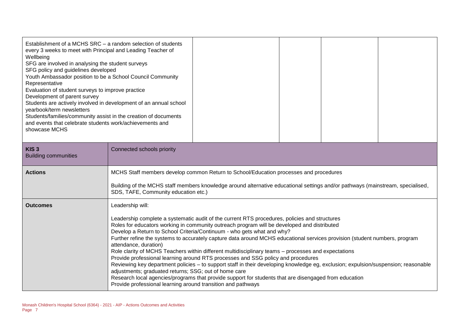| Establishment of a MCHS SRC - a random selection of students<br>every 3 weeks to meet with Principal and Leading Teacher of<br>Wellbeing<br>SFG are involved in analysing the student surveys<br>SFG policy and guidelines developed<br>Youth Ambassador position to be a School Council Community<br>Representative<br>Evaluation of student surveys to improve practice<br>Development of parent survey<br>Students are actively involved in development of an annual school<br>yearbook/term newsletters<br>Students/families/community assist in the creation of documents<br>and events that celebrate students work/achievements and<br>showcase MCHS |                                                                                                                                                                                                                                                                                                                                                                                                                                                                                                                                                                                                                                                                                                                                                                                                                                                                                                                                                                                                  |  |  |  |
|-------------------------------------------------------------------------------------------------------------------------------------------------------------------------------------------------------------------------------------------------------------------------------------------------------------------------------------------------------------------------------------------------------------------------------------------------------------------------------------------------------------------------------------------------------------------------------------------------------------------------------------------------------------|--------------------------------------------------------------------------------------------------------------------------------------------------------------------------------------------------------------------------------------------------------------------------------------------------------------------------------------------------------------------------------------------------------------------------------------------------------------------------------------------------------------------------------------------------------------------------------------------------------------------------------------------------------------------------------------------------------------------------------------------------------------------------------------------------------------------------------------------------------------------------------------------------------------------------------------------------------------------------------------------------|--|--|--|
| KIS <sub>3</sub><br><b>Building communities</b>                                                                                                                                                                                                                                                                                                                                                                                                                                                                                                                                                                                                             | Connected schools priority                                                                                                                                                                                                                                                                                                                                                                                                                                                                                                                                                                                                                                                                                                                                                                                                                                                                                                                                                                       |  |  |  |
| <b>Actions</b>                                                                                                                                                                                                                                                                                                                                                                                                                                                                                                                                                                                                                                              | MCHS Staff members develop common Return to School/Education processes and procedures                                                                                                                                                                                                                                                                                                                                                                                                                                                                                                                                                                                                                                                                                                                                                                                                                                                                                                            |  |  |  |
|                                                                                                                                                                                                                                                                                                                                                                                                                                                                                                                                                                                                                                                             | Building of the MCHS staff members knowledge around alternative educational settings and/or pathways (mainstream, specialised,<br>SDS, TAFE, Community education etc.)                                                                                                                                                                                                                                                                                                                                                                                                                                                                                                                                                                                                                                                                                                                                                                                                                           |  |  |  |
| <b>Outcomes</b>                                                                                                                                                                                                                                                                                                                                                                                                                                                                                                                                                                                                                                             | Leadership will:                                                                                                                                                                                                                                                                                                                                                                                                                                                                                                                                                                                                                                                                                                                                                                                                                                                                                                                                                                                 |  |  |  |
|                                                                                                                                                                                                                                                                                                                                                                                                                                                                                                                                                                                                                                                             | Leadership complete a systematic audit of the current RTS procedures, policies and structures<br>Roles for educators working in community outreach program will be developed and distributed<br>Develop a Return to School Criteria/Continuum - who gets what and why?<br>Further refine the systems to accurately capture data around MCHS educational services provision (student numbers, program<br>attendance, duration)<br>Role clarity of MCHS Teachers within different multidisciplinary teams - processes and expectations<br>Provide professional learning around RTS processes and SSG policy and procedures<br>Reviewing key department policies - to support staff in their developing knowledge eg, exclusion; expulsion/suspension; reasonable<br>adjustments; graduated returns; SSG; out of home care<br>Research local agencies/programs that provide support for students that are disengaged from education<br>Provide professional learning around transition and pathways |  |  |  |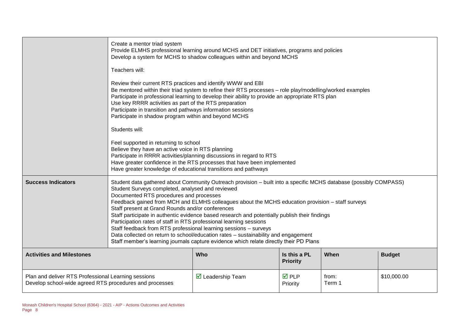|                                                                                                                | Create a mentor triad system<br>Provide ELMHS professional learning around MCHS and DET initiatives, programs and policies<br>Develop a system for MCHS to shadow colleagues within and beyond MCHS                                                                                                                                                                                                                                                                                                                                                                                                                                                                                                                                                                                                 |                           |                                |                 |             |
|----------------------------------------------------------------------------------------------------------------|-----------------------------------------------------------------------------------------------------------------------------------------------------------------------------------------------------------------------------------------------------------------------------------------------------------------------------------------------------------------------------------------------------------------------------------------------------------------------------------------------------------------------------------------------------------------------------------------------------------------------------------------------------------------------------------------------------------------------------------------------------------------------------------------------------|---------------------------|--------------------------------|-----------------|-------------|
|                                                                                                                | Teachers will:<br>Review their current RTS practices and identify WWW and EBI<br>Be mentored within their triad system to refine their RTS processes - role play/modelling/worked examples<br>Participate in professional learning to develop their ability to provide an appropriate RTS plan<br>Use key RRRR activities as part of the RTS preparation<br>Participate in transition and pathways information sessions<br>Participate in shadow program within and beyond MCHS<br>Students will:<br>Feel supported in returning to school<br>Believe they have an active voice in RTS planning<br>Participate in RRRR activities/planning discussions in regard to RTS                                                                                                                             |                           |                                |                 |             |
|                                                                                                                | Have greater confidence in the RTS processes that have been implemented<br>Have greater knowledge of educational transitions and pathways                                                                                                                                                                                                                                                                                                                                                                                                                                                                                                                                                                                                                                                           |                           |                                |                 |             |
| <b>Success Indicators</b>                                                                                      | Student data gathered about Community Outreach provision - built into a specific MCHS database (possibly COMPASS)<br>Student Surveys completed, analysed and reviewed<br>Documented RTS procedures and processes<br>Feedback gained from MCH and ELMHS colleagues about the MCHS education provision - staff surveys<br>Staff present at Grand Rounds and/or conferences<br>Staff participate in authentic evidence based research and potentially publish their findings<br>Participation rates of staff in RTS professional learning sessions<br>Staff feedback from RTS professional learning sessions - surveys<br>Data collected on return to school/education rates - sustainability and engagement<br>Staff member's learning journals capture evidence which relate directly their PD Plans |                           |                                |                 |             |
| <b>Activities and Milestones</b>                                                                               | Who<br>Is this a PL<br>When<br><b>Budget</b><br><b>Priority</b>                                                                                                                                                                                                                                                                                                                                                                                                                                                                                                                                                                                                                                                                                                                                     |                           |                                |                 |             |
| Plan and deliver RTS Professional Learning sessions<br>Develop school-wide agreed RTS procedures and processes |                                                                                                                                                                                                                                                                                                                                                                                                                                                                                                                                                                                                                                                                                                                                                                                                     | $\boxdot$ Leadership Team | $\overline{M}$ PLP<br>Priority | from:<br>Term 1 | \$10,000.00 |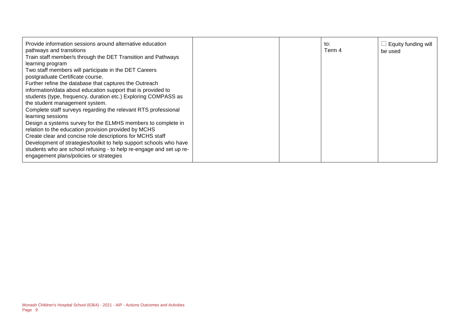| Provide information sessions around alternative education<br>pathways and transitions<br>Train staff member/s through the DET Transition and Pathways<br>learning program<br>Two staff members will participate in the DET Careers<br>postgraduate Certificate course.<br>Further refine the database that captures the Outreach<br>information/data about education support that is provided to<br>students (type, frequency, duration etc.) Exploring COMPASS as<br>the student management system.<br>Complete staff surveys regarding the relevant RTS professional<br>learning sessions<br>Design a systems survey for the ELMHS members to complete in<br>relation to the education provision provided by MCHS<br>Create clear and concise role descriptions for MCHS staff |  | to:<br>Term 4 | Equity funding will<br>be used |
|----------------------------------------------------------------------------------------------------------------------------------------------------------------------------------------------------------------------------------------------------------------------------------------------------------------------------------------------------------------------------------------------------------------------------------------------------------------------------------------------------------------------------------------------------------------------------------------------------------------------------------------------------------------------------------------------------------------------------------------------------------------------------------|--|---------------|--------------------------------|
| Development of strategies/toolkit to help support schools who have<br>students who are school refusing - to help re-engage and set up re-<br>engagement plans/policies or strategies                                                                                                                                                                                                                                                                                                                                                                                                                                                                                                                                                                                             |  |               |                                |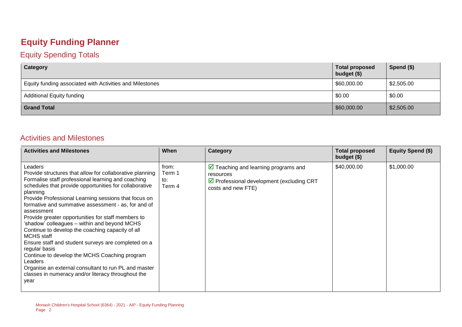# **Equity Funding Planner**

#### Equity Spending Totals

| Category                                                 | <b>Total proposed</b><br>budget (\$) | Spend $(\$)$ |
|----------------------------------------------------------|--------------------------------------|--------------|
| Equity funding associated with Activities and Milestones | \$60,000.00                          | \$2,505.00   |
| <b>Additional Equity funding</b>                         | \$0.00                               | \$0.00       |
| <b>Grand Total</b>                                       | \$60,000.00                          | \$2,505.00   |

#### Activities and Milestones

| <b>Activities and Milestones</b>                                                                                                                                                                                                                                                                                                                                                                                                                                                                                                                                                                                                                                                                                                                                             | When                             | Category                                                                                                                                           | <b>Total proposed</b><br>budget $($)$ | Equity Spend (\$) |
|------------------------------------------------------------------------------------------------------------------------------------------------------------------------------------------------------------------------------------------------------------------------------------------------------------------------------------------------------------------------------------------------------------------------------------------------------------------------------------------------------------------------------------------------------------------------------------------------------------------------------------------------------------------------------------------------------------------------------------------------------------------------------|----------------------------------|----------------------------------------------------------------------------------------------------------------------------------------------------|---------------------------------------|-------------------|
| <b>Leaders</b><br>Provide structures that allow for collaborative planning<br>Formalise staff professional learning and coaching<br>schedules that provide opportunities for collaborative<br>planning<br>Provide Professional Learning sessions that focus on<br>formative and summative assessment - as, for and of<br>assessment<br>Provide greater opportunities for staff members to<br>'shadow' colleagues - within and beyond MCHS<br>Continue to develop the coaching capacity of all<br><b>MCHS</b> staff<br>Ensure staff and student surveys are completed on a<br>regular basis<br>Continue to develop the MCHS Coaching program<br>Leaders<br>Organise an external consultant to run PL and master<br>classes in numeracy and/or literacy throughout the<br>year | from:<br>Term 1<br>to:<br>Term 4 | $\triangleright$ Teaching and learning programs and<br>resources<br>$\triangleright$ Professional development (excluding CRT<br>costs and new FTE) | \$40,000.00                           | \$1,000.00        |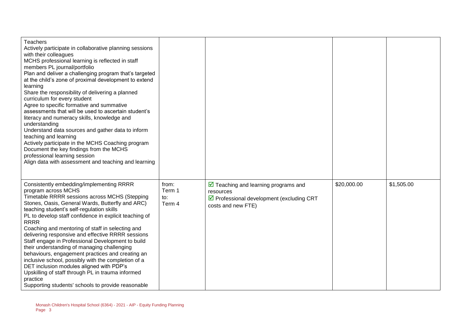| <b>Teachers</b><br>Actively participate in collaborative planning sessions<br>with their colleagues<br>MCHS professional learning is reflected in staff<br>members PL journal/portfolio<br>Plan and deliver a challenging program that's targeted<br>at the child's zone of proximal development to extend<br>learning<br>Share the responsibility of delivering a planned<br>curriculum for every student<br>Agree to specific formative and summative<br>assessments that will be used to ascertain student's<br>literacy and numeracy skills, knowledge and<br>understanding<br>Understand data sources and gather data to inform<br>teaching and learning<br>Actively participate in the MCHS Coaching program<br>Document the key findings from the MCHS<br>professional learning session<br>Align data with assessment and teaching and learning |                                  |                                                                                                                                            |             |            |
|--------------------------------------------------------------------------------------------------------------------------------------------------------------------------------------------------------------------------------------------------------------------------------------------------------------------------------------------------------------------------------------------------------------------------------------------------------------------------------------------------------------------------------------------------------------------------------------------------------------------------------------------------------------------------------------------------------------------------------------------------------------------------------------------------------------------------------------------------------|----------------------------------|--------------------------------------------------------------------------------------------------------------------------------------------|-------------|------------|
| Consistently embedding/implementing RRRR<br>program across MCHS<br>Timetable RRRR sessions across MCHS (Stepping<br>Stones, Oasis, General Wards, Butterfly and ARC)<br>teaching student's self-regulation skills<br>PL to develop staff confidence in explicit teaching of<br><b>RRRR</b><br>Coaching and mentoring of staff in selecting and<br>delivering responsive and effective RRRR sessions<br>Staff engage in Professional Development to build<br>their understanding of managing challenging<br>behaviours, engagement practices and creating an<br>inclusive school, possibly with the completion of a<br>DET inclusion modules aligned with PDP's<br>Upskilling of staff through PL in trauma informed<br>practice<br>Supporting students' schools to provide reasonable                                                                  | from:<br>Term 1<br>to:<br>Term 4 | $\overline{\mathbf{M}}$ Teaching and learning programs and<br>resources<br>☑ Professional development (excluding CRT<br>costs and new FTE) | \$20,000.00 | \$1,505.00 |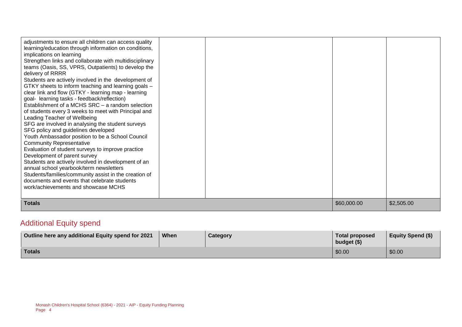| adjustments to ensure all children can access quality<br>learning/education through information on conditions,<br>implications on learning<br>Strengthen links and collaborate with multidisciplinary<br>teams (Oasis, SS, VPRS, Outpatients) to develop the<br>delivery of RRRR<br>Students are actively involved in the development of<br>GTKY sheets to inform teaching and learning goals -<br>clear link and flow (GTKY - learning map - learning<br>goal- learning tasks - feedback/reflection)<br>Establishment of a MCHS SRC – a random selection<br>of students every 3 weeks to meet with Principal and<br>Leading Teacher of Wellbeing<br>SFG are involved in analysing the student surveys<br>SFG policy and guidelines developed<br>Youth Ambassador position to be a School Council<br><b>Community Representative</b><br>Evaluation of student surveys to improve practice<br>Development of parent survey<br>Students are actively involved in development of an<br>annual school yearbook/term newsletters<br>Students/families/community assist in the creation of<br>documents and events that celebrate students<br>work/achievements and showcase MCHS |  |             |            |
|-----------------------------------------------------------------------------------------------------------------------------------------------------------------------------------------------------------------------------------------------------------------------------------------------------------------------------------------------------------------------------------------------------------------------------------------------------------------------------------------------------------------------------------------------------------------------------------------------------------------------------------------------------------------------------------------------------------------------------------------------------------------------------------------------------------------------------------------------------------------------------------------------------------------------------------------------------------------------------------------------------------------------------------------------------------------------------------------------------------------------------------------------------------------------------|--|-------------|------------|
| <b>Totals</b>                                                                                                                                                                                                                                                                                                                                                                                                                                                                                                                                                                                                                                                                                                                                                                                                                                                                                                                                                                                                                                                                                                                                                               |  | \$60,000.00 | \$2,505.00 |

#### Additional Equity spend

| Outline here any additional Equity spend for 2021 | When | <b>Category</b> | <b>Total proposed</b><br>budget (\$) | <b>Equity Spend (\$)</b> |
|---------------------------------------------------|------|-----------------|--------------------------------------|--------------------------|
| <b>Totals</b>                                     |      |                 | \$0.00                               | \$0.00                   |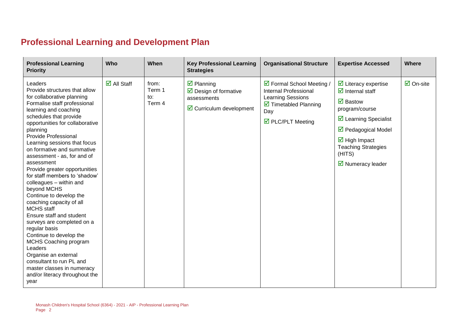# **Professional Learning and Development Plan**

| <b>Professional Learning</b><br><b>Priority</b>                                                                                                                                                                                                                                                                                                                                                                                                                                                                                                                                                                                                                                                                                                                                                                  | Who                               | When                             | <b>Key Professional Learning</b><br><b>Strategies</b>                                                           | <b>Organisational Structure</b>                                                                                                                                  | <b>Expertise Accessed</b>                                                                                                                                                                                                                                                                           | <b>Where</b>                    |
|------------------------------------------------------------------------------------------------------------------------------------------------------------------------------------------------------------------------------------------------------------------------------------------------------------------------------------------------------------------------------------------------------------------------------------------------------------------------------------------------------------------------------------------------------------------------------------------------------------------------------------------------------------------------------------------------------------------------------------------------------------------------------------------------------------------|-----------------------------------|----------------------------------|-----------------------------------------------------------------------------------------------------------------|------------------------------------------------------------------------------------------------------------------------------------------------------------------|-----------------------------------------------------------------------------------------------------------------------------------------------------------------------------------------------------------------------------------------------------------------------------------------------------|---------------------------------|
| Leaders<br>Provide structures that allow<br>for collaborative planning<br>Formalise staff professional<br>learning and coaching<br>schedules that provide<br>opportunities for collaborative<br>planning<br>Provide Professional<br>Learning sessions that focus<br>on formative and summative<br>assessment - as, for and of<br>assessment<br>Provide greater opportunities<br>for staff members to 'shadow'<br>colleagues - within and<br>beyond MCHS<br>Continue to develop the<br>coaching capacity of all<br><b>MCHS</b> staff<br>Ensure staff and student<br>surveys are completed on a<br>regular basis<br>Continue to develop the<br><b>MCHS Coaching program</b><br>Leaders<br>Organise an external<br>consultant to run PL and<br>master classes in numeracy<br>and/or literacy throughout the<br>year | $\overline{\mathsf{M}}$ All Staff | from:<br>Term 1<br>to:<br>Term 4 | $\boxtimes$ Planning<br>$\triangleright$ Design of formative<br>assessments<br>$\boxdot$ Curriculum development | ☑ Formal School Meeting /<br>Internal Professional<br><b>Learning Sessions</b><br>$\triangleright$ Timetabled Planning<br>Day<br>$\triangledown$ PLC/PLT Meeting | $\triangleright$ Literacy expertise<br>$\overline{\mathbf{d}}$ Internal staff<br>$\overline{\mathbf{M}}$ Bastow<br>program/course<br>☑ Learning Specialist<br>☑ Pedagogical Model<br>$\overline{\mathbf{M}}$ High Impact<br><b>Teaching Strategies</b><br>(HITS)<br>$\triangledown$ Numeracy leader | $\overline{\mathsf{M}}$ On-site |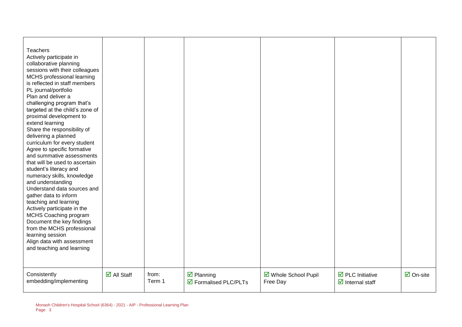| <b>Teachers</b><br>Actively participate in<br>collaborative planning<br>sessions with their colleagues<br>MCHS professional learning<br>is reflected in staff members<br>PL journal/portfolio<br>Plan and deliver a<br>challenging program that's<br>targeted at the child's zone of<br>proximal development to<br>extend learning<br>Share the responsibility of<br>delivering a planned<br>curriculum for every student<br>Agree to specific formative<br>and summative assessments<br>that will be used to ascertain<br>student's literacy and<br>numeracy skills, knowledge<br>and understanding<br>Understand data sources and<br>gather data to inform<br>teaching and learning<br>Actively participate in the<br>MCHS Coaching program<br>Document the key findings<br>from the MCHS professional<br>learning session<br>Align data with assessment<br>and teaching and learning |                                   |                 |                                               |                                  |                                                                                 |                                 |
|-----------------------------------------------------------------------------------------------------------------------------------------------------------------------------------------------------------------------------------------------------------------------------------------------------------------------------------------------------------------------------------------------------------------------------------------------------------------------------------------------------------------------------------------------------------------------------------------------------------------------------------------------------------------------------------------------------------------------------------------------------------------------------------------------------------------------------------------------------------------------------------------|-----------------------------------|-----------------|-----------------------------------------------|----------------------------------|---------------------------------------------------------------------------------|---------------------------------|
| Consistently<br>embedding/implementing                                                                                                                                                                                                                                                                                                                                                                                                                                                                                                                                                                                                                                                                                                                                                                                                                                                  | $\overline{\mathsf{M}}$ All Staff | from:<br>Term 1 | $\boxtimes$ Planning<br>☑ Formalised PLC/PLTs | ☑ Whole School Pupil<br>Free Day | $\overline{\boxtimes}$ PLC Initiative<br>$\overline{\mathbf{z}}$ Internal staff | $\overline{\mathsf{M}}$ On-site |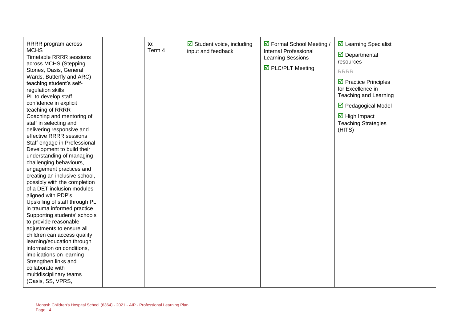| RRRR program across<br><b>MCHS</b><br><b>Timetable RRRR sessions</b><br>across MCHS (Stepping<br>Stones, Oasis, General<br>Wards, Butterfly and ARC)<br>teaching student's self-<br>regulation skills<br>PL to develop staff<br>confidence in explicit<br>teaching of RRRR<br>Coaching and mentoring of<br>staff in selecting and<br>delivering responsive and<br>effective RRRR sessions<br>Staff engage in Professional                                                                                                                                                                                     | to:<br>Term 4 | $\boxtimes$ Student voice, including<br>input and feedback | ☑ Formal School Meeting /<br>Internal Professional<br>Learning Sessions<br>☑ PLC/PLT Meeting | $\triangleright$ Learning Specialist<br>$\overline{\mathbf{y}}$ Departmental<br>resources<br><b>RRRR</b><br>$\triangleright$ Practice Principles<br>for Excellence in<br>Teaching and Learning<br>☑ Pedagogical Model<br>$\overline{\boxtimes}$ High Impact<br><b>Teaching Strategies</b><br>(HITS) |  |
|---------------------------------------------------------------------------------------------------------------------------------------------------------------------------------------------------------------------------------------------------------------------------------------------------------------------------------------------------------------------------------------------------------------------------------------------------------------------------------------------------------------------------------------------------------------------------------------------------------------|---------------|------------------------------------------------------------|----------------------------------------------------------------------------------------------|-----------------------------------------------------------------------------------------------------------------------------------------------------------------------------------------------------------------------------------------------------------------------------------------------------|--|
| Development to build their<br>understanding of managing<br>challenging behaviours,<br>engagement practices and<br>creating an inclusive school,<br>possibly with the completion<br>of a DET inclusion modules<br>aligned with PDP's<br>Upskilling of staff through PL<br>in trauma informed practice<br>Supporting students' schools<br>to provide reasonable<br>adjustments to ensure all<br>children can access quality<br>learning/education through<br>information on conditions,<br>implications on learning<br>Strengthen links and<br>collaborate with<br>multidisciplinary teams<br>(Oasis, SS, VPRS, |               |                                                            |                                                                                              |                                                                                                                                                                                                                                                                                                     |  |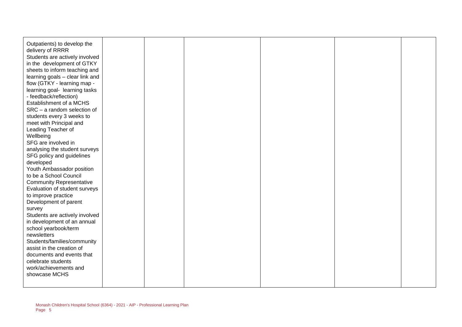| Outpatients) to develop the<br>delivery of RRRR<br>Students are actively involved<br>in the development of GTKY<br>sheets to inform teaching and<br>learning goals - clear link and<br>flow (GTKY - learning map -<br>learning goal- learning tasks<br>- feedback/reflection)<br>Establishment of a MCHS<br>SRC - a random selection of<br>students every 3 weeks to<br>meet with Principal and<br>Leading Teacher of<br>Wellbeing<br>SFG are involved in<br>analysing the student surveys<br>SFG policy and guidelines<br>developed<br>Youth Ambassador position<br>to be a School Council<br><b>Community Representative</b><br>Evaluation of student surveys<br>to improve practice<br>Development of parent<br>survey<br>Students are actively involved<br>in development of an annual<br>school yearbook/term<br>newsletters<br>Students/families/community<br>assist in the creation of<br>documents and events that<br>celebrate students<br>work/achievements and<br>showcase MCHS |  |  |  |
|--------------------------------------------------------------------------------------------------------------------------------------------------------------------------------------------------------------------------------------------------------------------------------------------------------------------------------------------------------------------------------------------------------------------------------------------------------------------------------------------------------------------------------------------------------------------------------------------------------------------------------------------------------------------------------------------------------------------------------------------------------------------------------------------------------------------------------------------------------------------------------------------------------------------------------------------------------------------------------------------|--|--|--|
|                                                                                                                                                                                                                                                                                                                                                                                                                                                                                                                                                                                                                                                                                                                                                                                                                                                                                                                                                                                            |  |  |  |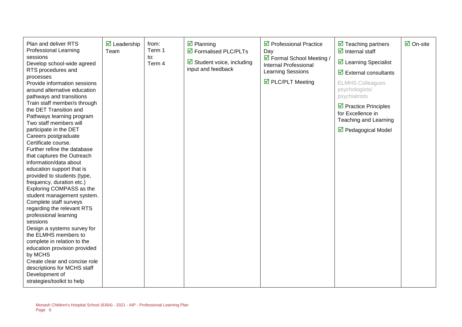| Plan and deliver RTS<br><b>Professional Learning</b><br>sessions<br>Develop school-wide agreed<br>RTS procedures and<br>processes<br>Provide information sessions<br>around alternative education<br>pathways and transitions<br>Train staff member/s through<br>the DET Transition and<br>Pathways learning program<br>Two staff members will<br>participate in the DET<br>Careers postgraduate<br>Certificate course.<br>Further refine the database<br>that captures the Outreach<br>information/data about<br>education support that is | $\triangleright$ Leadership<br>Team | from:<br>Term 1<br>to:<br>Term 4 | $\overline{\mathbf{y}}$ Planning<br>$\overline{\mathbf{M}}$ Formalised PLC/PLTs<br>$\boxtimes$ Student voice, including<br>input and feedback | $\triangledown$ Professional Practice<br>Day<br>☑ Formal School Meeting /<br><b>Internal Professional</b><br><b>Learning Sessions</b><br>☑ PLC/PLT Meeting | $\triangleright$ Teaching partners<br>$\overline{\mathbf{d}}$ Internal staff<br>☑ Learning Specialist<br>$\overline{\mathbf{M}}$ External consultants<br><b>ELMHS Colleagues</b><br>psychologists/<br>psychiatrists<br>$\triangleright$ Practice Principles<br>for Excellence in<br>Teaching and Learning<br>☑ Pedagogical Model | $\overline{\mathsf{M}}$ On-site |
|---------------------------------------------------------------------------------------------------------------------------------------------------------------------------------------------------------------------------------------------------------------------------------------------------------------------------------------------------------------------------------------------------------------------------------------------------------------------------------------------------------------------------------------------|-------------------------------------|----------------------------------|-----------------------------------------------------------------------------------------------------------------------------------------------|------------------------------------------------------------------------------------------------------------------------------------------------------------|----------------------------------------------------------------------------------------------------------------------------------------------------------------------------------------------------------------------------------------------------------------------------------------------------------------------------------|---------------------------------|
| student management system.<br>Complete staff surveys<br>regarding the relevant RTS<br>professional learning<br>sessions<br>Design a systems survey for<br>the ELMHS members to<br>complete in relation to the<br>education provision provided<br>by MCHS<br>Create clear and concise role<br>descriptions for MCHS staff<br>Development of<br>strategies/toolkit to help                                                                                                                                                                    |                                     |                                  |                                                                                                                                               |                                                                                                                                                            |                                                                                                                                                                                                                                                                                                                                  |                                 |